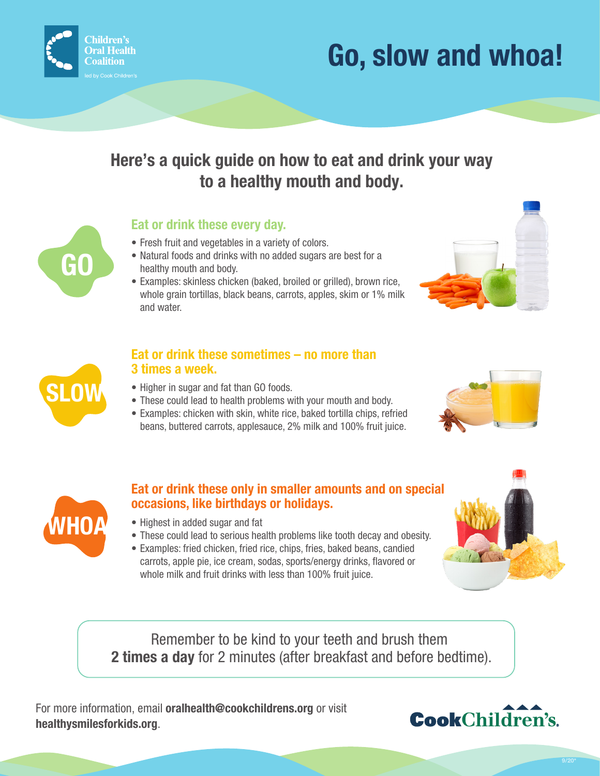

# **Go, slow and whoa!**

## **Here's a quick guide on how to eat and drink your way to a healthy mouth and body.**

## **Eat or drink these every day.**

- Fresh fruit and vegetables in a variety of colors.
- Natural foods and drinks with no added sugars are best for a healthy mouth and body.
- Examples: skinless chicken (baked, broiled or grilled), brown rice, whole grain tortillas, black beans, carrots, apples, skim or 1% milk and water.





**GO**

#### **Eat or drink these sometimes – no more than 3 times a week.**

- Higher in sugar and fat than GO foods.
- These could lead to health problems with your mouth and body.
- Examples: chicken with skin, white rice, baked tortilla chips, refried beans, buttered carrots, applesauce, 2% milk and 100% fruit juice.





## **Eat or drink these only in smaller amounts and on special occasions, like birthdays or holidays.**

- Highest in added sugar and fat
- These could lead to serious health problems like tooth decay and obesity.
- Examples: fried chicken, fried rice, chips, fries, baked beans, candied carrots, apple pie, ice cream, sodas, sports/energy drinks, flavored or whole milk and fruit drinks with less than 100% fruit juice.

Remember to be kind to your teeth and brush them **2 times a day** for 2 minutes (after breakfast and before bedtime).

For more information, email **oralhealth@cookchildrens.org** or visit **healthysmilesforkids.org**.